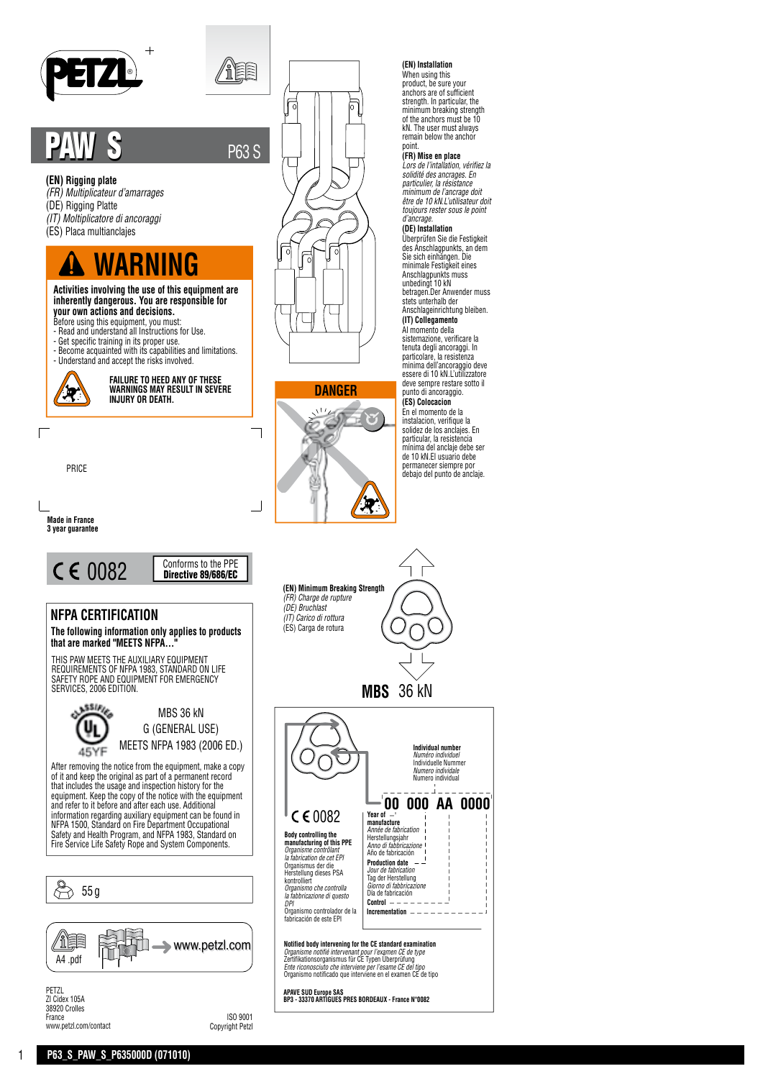

# PAW S P63 S

# **(EN) Rigging plate**

- *(FR) Multiplicateur d'amarrages*
- (DE) Rigging Platte
- *(IT) Moltiplicatore di ancoraggi*
- (ES) Placa multianclajes

# **WARNING**

**Activities involving the use of this equipment are inherently dangerous. You are responsible for your own actions and decisions.**

- Before using this equipment, you must: Read and understand all Instructions for Use.
- Get specific training in its proper use.
- Become acquainted with its capabilities and limitations. Understand and accept the risks involved.



**FAILURE TO HEED ANY OF THESE WARNINGS MAY RESULT IN SEVERE INJURY OR DEATH.**

PRICE





# **NFPA CERTIFICATION**

**The following information only applies to products**  that are marked "MEETS NFPA...

THIS PAW MEETS THE AUXILIARY EQUIPMENT<br>REQUIREMENTS OF NFPA 1983, STANDARD ON LIFE<br>SAFETY ROPE AND EQUIPMENT FOR EMERGENCY SERVICES, 2006 EDITION.



MBS 36 kN G (GENERAL USE) MEETS NFPA 1983 (2006 ED.)

After removing the notice from the equipment, make a copy of it and keep the original as part of a permanent record that includes the usage and inspection history for the equipment. Keep the copy of the notice with the equipment and refer to it before and after each use. Additional information regarding auxiliary equipment can be found in NFPA 1500, Standard on Fire Department Occupational Safety and Health Program, and NFPA 1983, Standard on Fire Service Life Safety Rope and System Components.



Copyright Petzl

www.petzl.com/contact



ÉÈ



#### **(EN) Installation**

When using this product, be sure your anchors are of sufficient strength. In particular, the minimum breaking strength of the anchors must be 10 kN. The user must always remain below the anchor

# point. **(FR) Mise en place**

*Lors de l'intallation, vérifiez la solidité des ancrages. En particulier, la résistance minimum de l'ancrage doit être de 10 kN.L'utilisateur doit toujours rester sous le point d'ancrage.*

# **(DE) Installation**

Überprüfen Sie die Festigkeit des Anschlagpunkts, an dem Sie sich einhängen. Die minimale Festigkeit eines Anschlagpunkts muss unbedingt 10 kN betragen.Der Anwender muss stets unterhalb der Anschlageinrichtung bleiben.

# **(IT) Collegamento**

Al momento della sistemazione, verificare la tenuta degli ancoraggi. In particolare, la resistenza minima dell'ancoraggio deve essere di 10 kN.L'utilizzatore deve sempre restare sotto il punto di ancoraggio. **(ES) Colocacion** En el momento de la instalacion, verifique la solidez de los anclajes. En particular, la resistencia mínima del anclaje debe ser de 10 kN.El usuario debe permanecer siempre por debajo del punto de anclaje.



1 **P63\_S\_PAW\_S\_P635000D (071010)**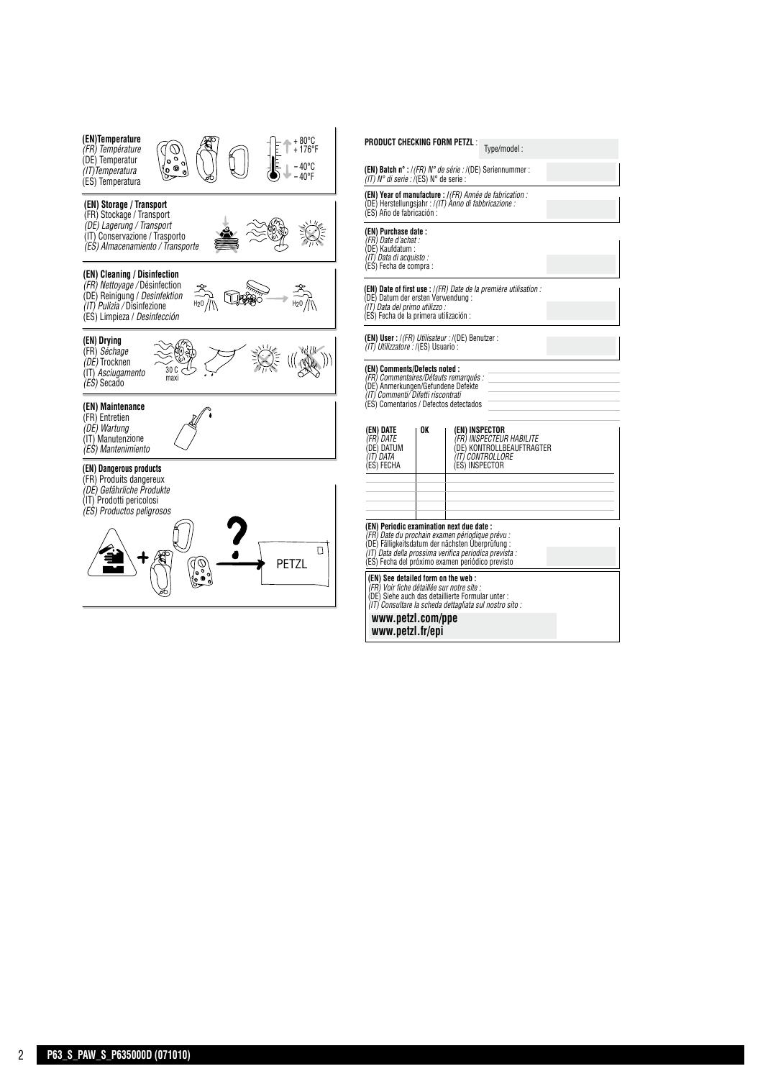

P635000D (071010) verso

| $[EN]$ Daluit it $\frac{1}{2}$ (FR) iv the serie $\frac{1}{2}$ (DE) settem unit iteration<br>(IT) N° di serie : /(ES) N° de serie :                                                              |    |                                                      |                                                                  |  |
|--------------------------------------------------------------------------------------------------------------------------------------------------------------------------------------------------|----|------------------------------------------------------|------------------------------------------------------------------|--|
| (EN) Year of manufacture : /(FR) Année de fabrication :<br>(DE) Herstellungsjahr : /(IT) Anno di fabbricazione :<br>(ES) Año de fabricación :                                                    |    |                                                      |                                                                  |  |
| (EN) Purchase date :<br>(FR) Date d'achat :<br>(DE) Kaufdatum:<br>(IT) Data di acquisto :                                                                                                        |    |                                                      |                                                                  |  |
| (ES) Fecha de compra :                                                                                                                                                                           |    |                                                      |                                                                  |  |
| (DE) Datum der ersten Verwendung :<br>(IT) Data del primo utilizzo :<br>(ES) Fecha de la primera utilización :                                                                                   |    |                                                      | (EN) Date of first use : /(FR) Date de la première utilisation : |  |
| (EN) User:/(FR) Utilisateur:/(DE) Benutzer:<br>(IT) Utilizzatore : /(ES) Usuario :                                                                                                               |    |                                                      |                                                                  |  |
| (EN) Comments/Defects noted :<br>(FR) Commentaires/Défauts remarqués :<br>(DE) Anmerkungen/Gefundene Defekte<br>(IT) Commenti/Difetti riscontrati<br>(ES) Comentarios / Defectos detectados      |    |                                                      |                                                                  |  |
| (EN) DATE<br>(FR) DATE<br>(DE) DATUM<br>(IT) DATA<br>(ES) FECHA                                                                                                                                  | OK | (EN) INSPECTOR<br>(IT) CONTROLLORE<br>(ES) INSPECTOR | (FR) INSPECTEUR HABILITE<br>(DE) KONTROLLBEAUFTRAGTER            |  |
|                                                                                                                                                                                                  |    |                                                      |                                                                  |  |
| (EN) Periodic examination next due date :<br>(FR) Date du prochain examen périodique prévu :<br>(DE) Fälligkeitsdatum der nächsten Uberprüfung :                                                 |    |                                                      |                                                                  |  |
| (IT) Data della prossima verifica periodica prevista :<br>(ES) Fecha del próximo examen periódico previsto                                                                                       |    |                                                      |                                                                  |  |
| (EN) See detailed form on the web:<br>(FR) Voir fiche détaillée sur notre site :<br>(DE) Siehe auch das detaillierte Formular unter :<br>(IT) Consultare la scheda dettagliata sul nostro sito : |    |                                                      |                                                                  |  |
| www.petzl.com/ppe<br>www.petzl.fr/epi                                                                                                                                                            |    |                                                      |                                                                  |  |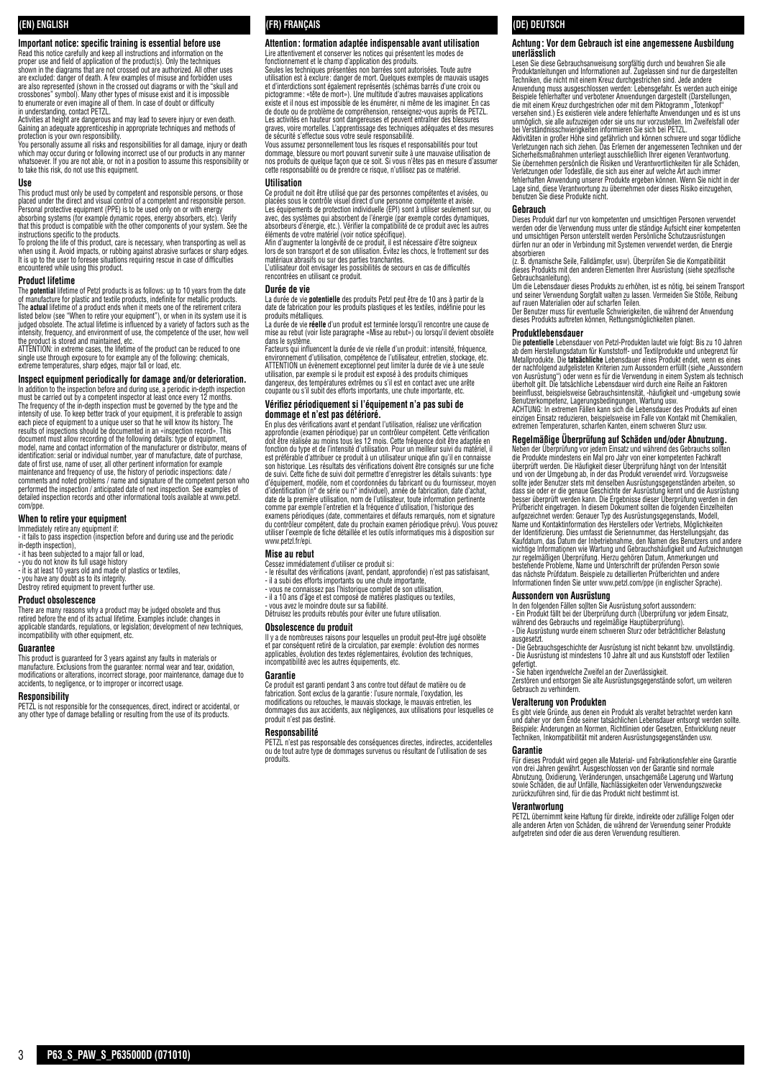# **(EN) ENGLISH**

**Important notice: specific training is essential before use** Read this notice carefully and keep all instructions and information on the proper use and field of application of the product(s). Only the techniques shown in the diagrams that are not crossed out are authorized. All other uses are excluded: danger of death. A few examples of misuse and forbidden uses are also represented (shown in the crossed out diagrams or with the "skull and crossbones" symbol). Many other types of misuse exist and it is impossible to enumerate or even imagine all of them. In case of doubt or difficulty in understanding, contact PETZL.

Activities at height are dangerous and may lead to severe injury or even death.<br>Gaining an adequate apprenticeship in appropriate techniques and methods of<br>protection is your own responsibility.<br>You personally assume all r

which may occur during or following incorrect use of our products in any manner whatsoever. If you are not able, or not in a position to assume this responsibility or to take this risk, do not use this equipment.

#### **Use**

This product must only be used by competent and responsible persons, or those<br>placed under the direct and visual control of a competent and responsible person.<br>Personal protective equipment (PPE) is to be used only on or w

absorbing systems (for example dynamic ropes, energy absorbers, etc). Verify that this product is compatible with the other components of your system. See the instructions specific to the products.

To prolong the life of this product, care is necessary, when transporting as well as<br>when using it. Avoid impacts, or rubbing against abrasive surfaces or sharp edges.<br>It is up to the user to foresee situations requiring r encountered while using this product.

#### **Product lifetime**

The **potential** lifetime of Petzl products is as follows: up to 10 years from the date<br>of manufacture for plastic and textile products, indefinite for metallic products.<br>The **actual** lifetime of a product ends when it meet listed below (see "When to retire your equipment"), or when in its system use it is judged obsolete. The actual lifetime is influenced by a variety of factors such as the intensity, frequency, and environment of use, the competence of the user, how well

the product is stored and maintained, etc.<br>ATTENTION: in extreme cases, the lifetime of the product can be reduced to one<br>single use through exposure to for example any of the following: chemicals, extreme temperatures, sharp edges, major fall or load, etc.

# **Inspect equipment periodically for damage and/or deterioration.**

In addition to the inspection before and during use, a periodic in-depth inspection must be carried out by a competent inspector at least once every 12 months.<br>The frequency of the in-depth inspection must be governed by the type and the<br>intensity of use. To keep better track of your equipment, it is pref each piece of equipment to a unique user so that he will know its history. The results of inspections should be documented in an «inspection record». This document must allow recording of the following details: type of equipment, model, name and contact information of the manufacturer or distributor, means of<br>identification: serial or individual number, year of manufacture, date of purchase,<br>date of first use, name of user, all other pertinent info maintenance and frequency of use, the history of periodic inspections: date /<br>comments and noted problems / name and signature of the competent person who<br>performed the inspection / anticipated date of next inspection. See com/ppe.

### **When to retire your equipment**

Immediately retire any equipment if: - it fails to pass inspection (inspection before and during use and the periodic

- 
- in-depth inspection), it has been subjected to a major fall or load,
- you do not know its full usage history it is at least 10 years old and made of plastics or textiles,
- 

- you have any doubt as to its integrity. Destroy retired equipment to prevent further use.

#### **Product obsolescence**

There are many reasons why a product may be judged obsolete and thus retired before the end of its actual lifetime. Examples include: changes in applicable standards, regulations, or legislation; development of new techniques, incompatibility with other equipment, etc.

#### **Guarantee** This product is guaranteed for 3 years against any faults in materials or

manufacture. Exclusions from the guarantee: normal wear and tear, oxidation, modifications or alterations, incorrect storage, poor maintenance, damage due to accidents, to negligence, or to improper or incorrect usage.

### **Responsibility**

PETZL is not responsible for the consequences, direct, indirect or accidental, or any other type of damage befalling or resulting from the use of its products.

## **(FR) FRANÇAIS**

# **Attention: formation adaptée indispensable avant utilisation** Lire attentivement et conserver les notices qui présentent les modes de fonctionnement et le champ d'application des produits.

Seules les techniques présentées non barrées sont autorisées. Toute autre utilisation est à exclure : danger de mort. Quelques exemples de mauvais usages et d'interdictions sont également représentés (schémas barrés d'une croix ou pictogramme: «tête de mort»). Une multitude d'autres mauvaises applications<br>existe et il nous est impossible de les énumérer, ni même de les imaginer. En cas<br>de doute ou de problème de compréhension, renseignez-vous auprès Les activités en hauteur sont dangereuses et peuvent entraïner des blessures<br>graves, voire mortelles. L'apprentissage des techniques adéquates et des mesures<br>de sécurité s'effectue sous votre seule responsabilité.

Vous assumez personnellement tous les risques et responsabilités pour tout dommage, blessure ou mort pouvant survenir suite à une mauvaise utilisation de<br>nos produits de quelque façon que ce soit. Si vous n'êtes pas en mesure d'assumer<br>cette responsabilité ou de prendre ce risque, n'utilisez pas

#### **Utilisation**

Ce produit ne doit être utilisé que par des personnes compétentes et avisées, ou<br>placées sous le contrôle visuel direct d'une personne compétente et avisée.<br>Les équipements de protection individuelle (EPI) sont à utiliser avec, des systèmes qui absorbent de l'énergie (par exemple cordes dynamiques, absorbeurs d'énergie, etc.). Vérifier la compatibilité de ce produit avec les autres éléments de votre matériel (voir notice spécifique).

Afin d'augmenter la longévité de ce produit, il est nécessaire d'être soigneux<br>lors de son transport et de son utilisation. Évitez les chocs, le frottement sur des<br>matériaux abrasifs ou sur des parties tranchantes.

L'utilisateur doit envisager les possibilités de secours en cas de difficultés rencontrées en utilisant ce produit.

**Durée de vie<br>La durée de vie <b>potentielle** des produits Petzl peut être de 10 ans à partir de la<br>date de fabrication pour les produits plastiques et les textiles, indéfinie pour les<br>produits métalliques.

La durée de vie **réelle** d'un produit est terminée lorsqu'il rencontre une cause de mise au rebut (voir liste paragraphe «Mise au rebut») ou lorsqu'il devient obsolète dans le système.

Facteurs qui influencent la durée de vie réelle d'un produit: intensité, fréquence, environnement d'utilisation, compétence de l'utilisateur, entretien, stockage, etc. ATTENTION un évènement exceptionnel peut limiter la durée de vie à une seule utilisation, par exemple si le produit est exposé à des produits chimiques dangereux, des températures extrêmes ou s'il est en contact avec une arête coupante ou s'il subit des efforts importants, une chute importante, etc.

#### **Vérifiez périodiquement si l'équipement n'a pas subi de dommage et n'est pas détérioré.**

En plus des vérifications avant et pendant l'utilisation, réalisez une vérification approfondie (examen périodique) par un contrôleur compétent. Cette vérification doit être réalisée au moins tous les 12 mois. Cette fréquence doit être adaptée en<br>fonction du type et de l'intensité d'utilisation. Pour un meilleur suivi du matériel, il<br>est préférable d'attribuer ce produit à un utilisa son historique. Les résultats des vérifications doivent être consignés sur une fiche<br>de suivi. Cette fiche de suivi doit permettre d'enregistrer les détails suivants : type<br>d'équipement, modèle, nom et coordonnées du fabri d'identification (n° de série ou n° individuel), année de fabrication, date d'achat, date de la première utilisation, nom de l'utilisateur, toute information pertinente comme par exemple l'entretien et la fréquence d'utilisation, l'historique des examens périodiques (date, commentaires et défauts remarqués, nom et signature du contrôleur compétent, date du prochain examen périodique prévu). Vous pouvez utiliser l'exemple de fiche détaillée et les outils informatiques mis à disposition sur www.petzl.fr/epi.

#### **Mise au rebut**

Cessez immédiatement d'utiliser ce produit si: - le résultat des vérifications (avant, pendant, approfondie) n'est pas satisfaisant,

- il a subi des efforts importants ou une chute importante, vous ne connaissez pas l'historique complet de son utilisation, il a 10 ans d'âge et est composé de matières plastiques ou textiles,
- 
- vous avez le moindre doute sur sa fiabilité. Détruisez les produits rebutés pour éviter une future utilisation.

### **Obsolescence du produit**

Il y a de nombreuses raisons pour lesquelles un produit peut-être jugé obsolète et par conséquent retiré de la circulation, par exemple : évolution des normes applicables, évolution des textes réglementaires, évolution des techniques, incompatibilité avec les autres équipements, etc.

#### **Garantie**

Ce produit est garanti pendant 3 ans contre tout défaut de matière ou de fabrication. Sont exclus de la garantie : l'usure normale, l'oxydation, les modifications ou retouches, le mauvais stockage, le mauvais entretien, les dommages dus aux accidents, aux négligences, aux utilisations pour lesquelles ce produit n'est pas destiné.

#### **Responsabilité**

PETZL n'est pas responsable des conséquences directes, indirectes, accidentelles ou de tout autre type de dommages survenus ou résultant de l'utilisation de ses produits.

# **(DE) DEUTSCH**

#### **Achtung: Vor dem Gebrauch ist eine angemessene Ausbildung unerlässlich**

Lesen Sie diese Gebrauchsanweisung sorgfältig durch und bewahren Sie alle<br>Produktanleitungen und Informationen auf. Zugelassen sind nur die dargestellten<br>Techniken, die nicht mit einem Kreuz durchgestrichen sind. Jede ande Anwendung muss ausgeschlossen werden: Lebensgefahr. Es werden auch einige<br>Beispiele fehlerhafter und verbotener Anwendungen dargestellt (Darstellungen,<br>die mit einem Kreuz durchgestrichen oder mit dem Piktogramm "Totenkopf versehen sind.) Es existieren viele andere fehlerhafte Anwendungen und es ist uns unmöglich, sie alle aufzuzeigen oder sie uns nur vorzustellen. Im Zweifelsfall oder bei Verständnisschwierigkeiten informieren Sie sich bei PETZL.

Aktivitäten in großer Höhe sind gefährlich und können schwere und sogar tödliche<br>Verletzungen nach sich ziehen. Das Erlernen der angemessenen Techniken und der<br>Sicherheitsmaßnahmen unterliegt ausschließlich Ihrer eigenen V Verletzungen oder Todesfälle, die sich aus einer auf welche Art auch immer<br>fehlerhaften Anwendung unserer Produkte ergeben können. Wenn Sie nicht in der<br>Lage sind, diese Verantwortung zu übernehmen oder dieses Risiko einzu benutzen Sie diese Produkte nicht.

#### **Gebrauch**

Dieses Produkt darf nur von kompetenten und umsichtigen Personen verwendet werden oder die Verwendung muss unter die ständige Aufsicht einer kompetenten<br>und umsichtigen Person unterstellt werden Persönliche Schutzausrüstungen<br>dürfen nur an oder in Verbindung mit Systemen verwendet werden, die Ene

absorbieren<br>(z. B. dynamische Seile, Falldämpfer, usw). Überprüfen Sie die Kompatibilität<br>dieses Produkts mit den anderen Elementen Ihrer Ausrüstung (siehe spezifische

Gebrauchsanleitung).<br>Um die Lebensdauer dieses Produkts zu erhöhen, ist es nötig, bei seinem Transport<br>und seiner Verwendung Sorgfalt walten zu lassen. Vermeiden Sie Stöße, Reibung<br>auf rauen Materialien oder auf scharfen T

#### **Produktlebensdauer**

Die **potentielle** Lebensdauer von Petzl-Produkten lautet wie folgt: Bis zu 10 Jahren ab dem Herstellungsdatum für Kunststoff- und Textilprodukte und unbegrenzt für<br>Metallprodukte. Die **tatsächliche L**ebensdauer eines Produkt endet, wenn es eines<br>der nachfolgend aufgelisteten Kriterien zum Aussondern erfüll von Ausrüstung") oder wenn es für die Verwendung in einem System als technisch<br>überholt gilt. Die tatsächliche Lebensdauer wird durch eine Reihe an Faktoren<br>beeinflusst, beispielsweise Gebrauchsintensität, -häufigkeit und

Benutzerkompetenz, Lagerungsbedingungen, Wartung usw.<br>ACHTUNG: In extremen Fällen kann sich die Lebensdauer des Produkts auf einen<br>einzigen Einsatz reduzieren, beispielsweise im Falle von Kontakt mit Chemikalien, extremen Temperaturen, scharfen Kanten, einem schweren Sturz usw.

#### **Regelmäßige Überprüfung auf Schäden und/oder Abnutzung.**

Neben der Überprüfung vor jedem Einsatz und während des Gebrauchs sollten die Produkte mindestens ein Mal pro Jahr von einer kompetenten Fachkraft überprüft werden. Die Häufigkeit dieser Uberprüfung hängt von der Intensität<br>und von der Umgebung ab, in der das Produkt verwendet wird. Vorzugsweise<br>sollte jeder Benutzer stets mit denselben Ausrüstungsgegenständen arbeit dass sie oder er die genaue Geschichte der Ausrüstung kennt und die Ausrüstung<br>besser überprüft werden kann. Die Ergebnisse dieser Uberprüfung werden in den<br>Prüfbericht eingetragen. In diesem Dokument sollten die folgenden aufgezeichnet werden: Genauer Typ des Ausrüstungsgegenstands, Modell, Name und Kontaktinformation des Herstellers oder Vertriebs, Möglichkeiten<br>der Identifizierung. Dies umfasst die Seriennummer, das Herstellungsjahr, das<br>Kaufdatum, das Datum der Inbetriebnahme, den Namen des Benutzers und a wichtige Informationen wie Wartung und Gebrauchshäufigkeit und Aufzeichnungen<br>zur regelmäßigen Überprüfung. Hierzu gehören Datum, Anmerkungen und<br>bestehende Probleme, Name und Unterschrift der prüfenden Person sowie das nächste Prüfdatum. Beispiele zu detaillierten Prüfberichten und andere Informationen finden Sie unter www.petzl.com/ppe (in englischer Sprache).

#### **Aussondern von Ausrüstung**

In den folgenden Fällen sollten Sie Ausrüstung sofort aussondern:<br>- Ein Produkt fällt bei der Überprüfung durch (Überprüfung vor jedem Einsatz,<br>während des Gebrauchs und regelmäßige Hauptüberprüfung).<br>- Die Ausrüstung wurd

ausgesetzt.

- Die Gebrauchsgeschichte der Ausrüstung ist nicht bekannt bzw. unvollständig. - Die Ausrüstung ist mindestens 10 Jahre alt und aus Kunststoff oder Textilien gefertigt.

- Sie haben irgendwelche Zweifel an der Zuverlässigkeit. Zerstören und entsorgen Sie alte Ausrüstungsgegenstände sofort, um weiteren Gebrauch zu verhindern.

#### **Veralterung von Produkten**

Es gibt viele Gründe, aus denen ein Produkt als veraltet betrachtet werden kann und daher vor dem Ende seiner tatsächlichen Lebensdauer entsorgt werden sollte. Beispiele: Änderungen an Normen, Richtlinien oder Gesetzen, Entwicklung neuer Techniken, Inkompatibilität mit anderen Ausrüstungsgegenständen usw.

#### **Garantie**

Für dieses Produkt wird gegen alle Material- und Fabrikationsfehler eine Garantie von drei Jahren gewährt. Ausgeschlossen von der Garantie sind normale<br>Abnutzung, Oxidierung, Veränderungen, unsachgemäße Lagerung und Wartung<br>sowie Schäden, die auf Unfälle, Nachlässigkeiten oder Verwendungszwecke zurückzuführen sind, für die das Produkt nicht bestimmt ist.

#### **Verantwortung**

PETZL übernimmt keine Haftung für direkte, indirekte oder zufällige Folgen oder alle anderen Arten von Schäden, die während der Verwendung seiner Produkte aufgetreten sind oder die aus deren Verwendung resultieren.